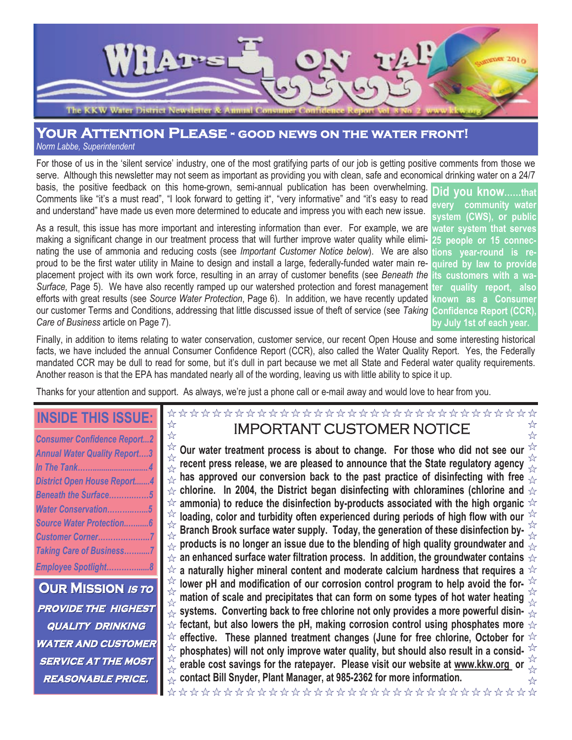

# **Your Attention Please - good news on the water front!**

*Norm Labbe, Superintendent*

For those of us in the 'silent service' industry, one of the most gratifying parts of our job is getting positive comments from those we serve. Although this newsletter may not seem as important as providing you with clean, safe and economical drinking water on a 24/7 basis, the positive feedback on this home-grown, semi-annual publication has been overwhelming.

Comments like "it's a must read", "I look forward to getting it", "very informative" and "it's easy to read and understand" have made us even more determined to educate and impress you with each new issue.

As a result, this issue has more important and interesting information than ever. For example, we are **water system that serves** making a significant change in our treatment process that will further improve water quality while eliminating the use of ammonia and reducing costs (see *Important Customer Notice below*). We are also proud to be the first water utility in Maine to design and install a large, federally-funded water main replacement project with its own work force, resulting in an array of customer benefits (see *Beneath the Surface,* Page 5). We have also recently ramped up our watershed protection and forest management **ter quality report, also** efforts with great results (see *Source Water Protection*, Page 6). In addition, we have recently updated our customer Terms and Conditions, addressing that little discussed issue of theft of service (see *Taking* **Confidence Report (CCR),** *Care of Business* article on Page 7).

**Did you know……that every community water system (CWS), or public 25 people or 15 connections year-round is required by law to provide** its customers with a wa **known as a Consumer by July 1st of each year.**

☆

☆

Finally, in addition to items relating to water conservation, customer service, our recent Open House and some interesting historical facts, we have included the annual Consumer Confidence Report (CCR), also called the Water Quality Report. Yes, the Federally mandated CCR may be dull to read for some, but it's dull in part because we met all State and Federal water quality requirements. Another reason is that the EPA has mandated nearly all of the wording, leaving us with little ability to spice it up.

Thanks for your attention and support. As always, we're just a phone call or e-mail away and would love to hear from you.

## **INSIDE THIS ISSUE:**

☆

☆

| <b>Consumer Confidence Report2</b>  |
|-------------------------------------|
| <b>Annual Water Quality Report3</b> |
| In The Tank4                        |
| <b>District Open House Report4</b>  |
| Beneath the Surface5                |
| Water Conservation5                 |
| <b>Source Water Protection6</b>     |
| Customer Corner7                    |
| <b>Taking Care of Business7</b>     |
| Employee Spotlight8                 |
|                                     |

**OUR MISSION IS TO PROVIDE THE HIGHEST quality quality drinking drinking water and customer customer service service at the most reasonable reasonable price.**

## \*\*\*\*\*\*\*\*\*\*\*\*\*\*\*\*\*\*\*\*\*\*\*\*\*\*\*\*\*\*\*\*\*\* IMPORTANT CUSTOMER NOTICE

 $\frac{1}{2}$ ☆ **Our water treatment process is about to change. For those who did not see our recent press release, we are pleased to announce that the State regulatory agency**  $\frac{1}{\sqrt{2}}$  has approved our conversion back to the past practice of disinfecting with free  $\frac{1}{\sqrt{2}}$  $\overrightarrow{x}$  chlorine. In 2004, the District began disinfecting with chloramines (chlorine and  $\overrightarrow{x}$  $\approx$  ammonia) to reduce the disinfection by-products associated with the high organic  $\Join$  $\overrightarrow{a}$  loading, color and turbidity often experienced during periods of high flow with our  $\overrightarrow{a}$ **Branch Brook surface water supply. Today, the generation of these disinfection by-** $\frac{\pi}{\alpha}$  products is no longer an issue due to the blending of high quality groundwater and  $\frac{\pi}{\alpha r}$  $\star$  an enhanced surface water filtration process. In addition, the groundwater contains  $\,\star$  $\forall$  a naturally higher mineral content and moderate calcium hardness that requires a  $\forall$ **<sup>** $\frac{1}{2}$ **</sup> lower pH and modification of our corrosion control program to help avoid the for**mation of scale and precipitates that can form on some types of hot water heating  $\frac{1}{\sqrt{x}}$  $\frac{1}{2}$  $\stackrel{\sim}{\propto}$  systems. Converting back to free chlorine not only provides a more powerful disin-  $\stackrel{\sim}{\propto}$  $\star$  fectant, but also lowers the pH, making corrosion control using phosphates more  $\star$  $\approx$  effective. These planned treatment changes (June for free chlorine, October for  $\approx$ ☆ phosphates) will not only improve water quality, but should also result in a consid-☆ **erable cost savings for the ratepayer. Please visit our website at www.kkw.org or**  $\frac{1}{2}$ **contact Bill Snyder, Plant Manager, at 985-2362 for more information.** ╬

\*\*\*\*\*\*\*\*\*\*\*\*\*\*\*\*\*\*\*\*\*\*\*\*\*\*\*\*\*\*\*\*\*\*\*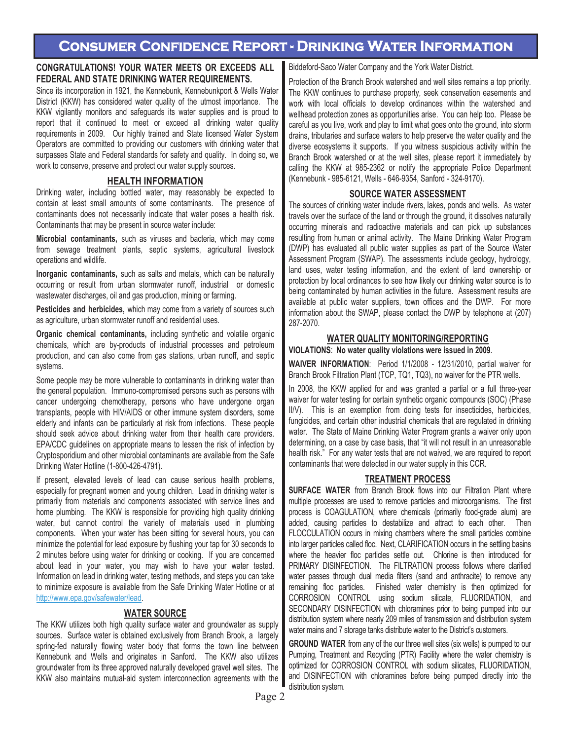## **Consumer Confidence Report - Drinking Water Information**

### **CONGRATULATIONS! YOUR WATER MEETS OR EXCEEDS ALL FEDERAL AND STATE DRINKING WATER REQUIREMENTS.**

Since its incorporation in 1921, the Kennebunk, Kennebunkport & Wells Water District (KKW) has considered water quality of the utmost importance. The KKW vigilantly monitors and safeguards its water supplies and is proud to report that it continued to meet or exceed all drinking water quality requirements in 2009. Our highly trained and State licensed Water System Operators are committed to providing our customers with drinking water that surpasses State and Federal standards for safety and quality. In doing so, we work to conserve, preserve and protect our water supply sources.

### **HEALTH INFORMATION**

Drinking water, including bottled water, may reasonably be expected to contain at least small amounts of some contaminants. The presence of contaminants does not necessarily indicate that water poses a health risk. Contaminants that may be present in source water include:

**Microbial contaminants,** such as viruses and bacteria, which may come from sewage treatment plants, septic systems, agricultural livestock operations and wildlife.

**Inorganic contaminants,** such as salts and metals, which can be naturally occurring or result from urban stormwater runoff, industrial or domestic wastewater discharges, oil and gas production, mining or farming.

**Pesticides and herbicides,** which may come from a variety of sources such as agriculture, urban stormwater runoff and residential uses.

**Organic chemical contaminants,** including synthetic and volatile organic chemicals, which are by-products of industrial processes and petroleum production, and can also come from gas stations, urban runoff, and septic systems.

Some people may be more vulnerable to contaminants in drinking water than the general population. Immuno-compromised persons such as persons with cancer undergoing chemotherapy, persons who have undergone organ transplants, people with HIV/AIDS or other immune system disorders, some elderly and infants can be particularly at risk from infections. These people should seek advice about drinking water from their health care providers. EPA/CDC guidelines on appropriate means to lessen the risk of infection by Cryptosporidium and other microbial contaminants are available from the Safe Drinking Water Hotline (1-800-426-4791).

If present, elevated levels of lead can cause serious health problems, especially for pregnant women and young children. Lead in drinking water is primarily from materials and components associated with service lines and home plumbing. The KKW is responsible for providing high quality drinking water, but cannot control the variety of materials used in plumbing components. When your water has been sitting for several hours, you can minimize the potential for lead exposure by flushing your tap for 30 seconds to 2 minutes before using water for drinking or cooking. If you are concerned about lead in your water, you may wish to have your water tested. Information on lead in drinking water, testing methods, and steps you can take to minimize exposure is available from the Safe Drinking Water Hotline or at http://www.epa.gov/safewater/lead.

### **WATER SOURCE**

The KKW utilizes both high quality surface water and groundwater as supply sources. Surface water is obtained exclusively from Branch Brook, a largely spring-fed naturally flowing water body that forms the town line between Kennebunk and Wells and originates in Sanford. The KKW also utilizes groundwater from its three approved naturally developed gravel well sites. The KKW also maintains mutual-aid system interconnection agreements with the Biddeford-Saco Water Company and the York Water District.

Protection of the Branch Brook watershed and well sites remains a top priority. The KKW continues to purchase property, seek conservation easements and work with local officials to develop ordinances within the watershed and wellhead protection zones as opportunities arise. You can help too. Please be careful as you live, work and play to limit what goes onto the ground, into storm drains, tributaries and surface waters to help preserve the water quality and the diverse ecosystems it supports. If you witness suspicious activity within the Branch Brook watershed or at the well sites, please report it immediately by calling the KKW at 985-2362 or notify the appropriate Police Department (Kennebunk - 985-6121, Wells - 646-9354, Sanford - 324-9170).

### **SOURCE WATER ASSESSMENT**

The sources of drinking water include rivers, lakes, ponds and wells. As water travels over the surface of the land or through the ground, it dissolves naturally occurring minerals and radioactive materials and can pick up substances resulting from human or animal activity. The Maine Drinking Water Program (DWP) has evaluated all public water supplies as part of the Source Water Assessment Program (SWAP). The assessments include geology, hydrology, land uses, water testing information, and the extent of land ownership or protection by local ordinances to see how likely our drinking water source is to being contaminated by human activities in the future. Assessment results are available at public water suppliers, town offices and the DWP. For more information about the SWAP, please contact the DWP by telephone at (207) 287-2070.

### **WATER QUALITY MONITORING/REPORTING**

**VIOLATIONS**: **No water quality violations were issued in 2009**.

**WAIVER INFORMATION**: Period 1/1/2008 - 12/31/2010, partial waiver for Branch Brook Filtration Plant (TCP, TQ1, TQ3), no waiver for the PTR wells.

In 2008, the KKW applied for and was granted a partial or a full three-year waiver for water testing for certain synthetic organic compounds (SOC) (Phase II/V). This is an exemption from doing tests for insecticides, herbicides, fungicides, and certain other industrial chemicals that are regulated in drinking water. The State of Maine Drinking Water Program grants a waiver only upon determining, on a case by case basis, that "it will not result in an unreasonable health risk." For any water tests that are not waived, we are required to report contaminants that were detected in our water supply in this CCR.

### **TREATMENT PROCESS**

**SURFACE WATER** from Branch Brook flows into our Filtration Plant where multiple processes are used to remove particles and microorganisms. The first process is COAGULATION, where chemicals (primarily food-grade alum) are added, causing particles to destabilize and attract to each other. Then FLOCCULATION occurs in mixing chambers where the small particles combine into larger particles called floc. Next, CLARIFICATION occurs in the settling basins where the heavier floc particles settle out. Chlorine is then introduced for PRIMARY DISINFECTION. The FILTRATION process follows where clarified water passes through dual media filters (sand and anthracite) to remove any remaining floc particles. Finished water chemistry is then optimized for CORROSION CONTROL using sodium silicate, FLUORIDATION, and SECONDARY DISINFECTION with chloramines prior to being pumped into our distribution system where nearly 209 miles of transmission and distribution system water mains and 7 storage tanks distribute water to the District's customers.

**GROUND WATER** from any of the our three well sites (six wells) is pumped to our Pumping, Treatment and Recycling (PTR) Facility where the water chemistry is optimized for CORROSION CONTROL with sodium silicates, FLUORIDATION, and DISINFECTION with chloramines before being pumped directly into the distribution system.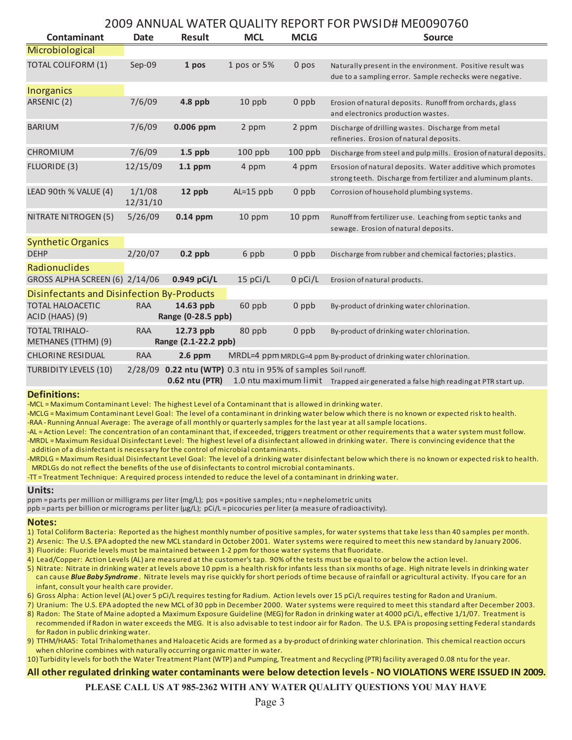### 2009 ANNUAL WATER QUALITY REPORT FOR PWSID# ME0090760

| Contaminant                                                                                         | <b>Date</b>        | <b>Result</b>                     | <b>MCL</b>  | <b>MCLG</b> | 2000 / \\\\\O/\L\YY\\ILI\\QO/\LITT\\LI\O\\ITV\\I\YYOIDII IVILOOJO/ 00<br><b>Source</b>                                      |  |
|-----------------------------------------------------------------------------------------------------|--------------------|-----------------------------------|-------------|-------------|-----------------------------------------------------------------------------------------------------------------------------|--|
| Microbiological                                                                                     |                    |                                   |             |             |                                                                                                                             |  |
| <b>TOTAL COLIFORM (1)</b>                                                                           | Sep-09             | 1 pos                             | 1 pos or 5% | 0 pos       | Naturally present in the environment. Positive result was<br>due to a sampling error. Sample rechecks were negative.        |  |
| Inorganics                                                                                          |                    |                                   |             |             |                                                                                                                             |  |
| ARSENIC (2)                                                                                         | 7/6/09             | $4.8$ ppb                         | 10 ppb      | 0 ppb       | Erosion of natural deposits. Runoff from orchards, glass<br>and electronics production wastes.                              |  |
| <b>BARIUM</b>                                                                                       | 7/6/09             | 0.006 ppm                         | 2 ppm       | 2 ppm       | Discharge of drilling wastes. Discharge from metal<br>refineries. Erosion of natural deposits.                              |  |
| <b>CHROMIUM</b>                                                                                     | 7/6/09             | $1.5$ ppb                         | $100$ ppb   | $100$ ppb   | Discharge from steel and pulp mills. Erosion of natural deposits.                                                           |  |
| FLUORIDE (3)                                                                                        | 12/15/09           | $1.1$ ppm                         | 4 ppm       | 4 ppm       | Ersosion of natural deposits. Water additive which promotes<br>strong teeth. Discharge from fertilizer and aluminum plants. |  |
| LEAD 90th % VALUE (4)                                                                               | 1/1/08<br>12/31/10 | 12 ppb                            | $AL=15$ ppb | $0$ ppb     | Corrosion of household plumbing systems.                                                                                    |  |
| NITRATE NITROGEN (5)                                                                                | 5/26/09            | $0.14$ ppm                        | 10 ppm      | 10 ppm      | Runoff from fertilizer use. Leaching from septic tanks and<br>sewage. Erosion of natural deposits.                          |  |
| <b>Synthetic Organics</b>                                                                           |                    |                                   |             |             |                                                                                                                             |  |
| <b>DEHP</b>                                                                                         | 2/20/07            | $0.2$ ppb                         | 6 ppb       | $0$ ppb     | Discharge from rubber and chemical factories; plastics.                                                                     |  |
| <b>Radionuclides</b>                                                                                |                    |                                   |             |             |                                                                                                                             |  |
| GROSS ALPHA SCREEN (6) 2/14/06                                                                      |                    | $0.949$ pCi/L                     | $15$ pCi/L  | $0$ pCi/L   | Erosion of natural products.                                                                                                |  |
| <b>Disinfectants and Disinfection By-Products</b>                                                   |                    |                                   |             |             |                                                                                                                             |  |
| <b>TOTAL HALOACETIC</b><br>ACID (HAA5) (9)                                                          | <b>RAA</b>         | 14.63 ppb<br>Range (0-28.5 ppb)   | 60 ppb      | $0$ ppb     | By-product of drinking water chlorination.                                                                                  |  |
| <b>TOTAL TRIHALO-</b><br>METHANES (TTHM) (9)                                                        | <b>RAA</b>         | 12.73 ppb<br>Range (2.1-22.2 ppb) | 80 ppb      | $0$ ppb     | By-product of drinking water chlorination.                                                                                  |  |
| <b>CHLORINE RESIDUAL</b>                                                                            | <b>RAA</b>         | $2.6$ ppm                         |             |             | MRDL=4 ppm MRDLG=4 ppm By-product of drinking water chlorination.                                                           |  |
| TURBIDITY LEVELS (10)<br>$2/28/09$ 0.22 ntu (WTP) 0.3 ntu in 95% of samples Soil runoff.            |                    |                                   |             |             |                                                                                                                             |  |
| 0.62 ntu (PTR)<br>1.0 ntu maximum limit Trapped air generated a false high reading at PTR start up. |                    |                                   |             |             |                                                                                                                             |  |

#### **Definitions:**

-MCL = Maximum Contaminant Level: The highest Level of a Contaminant that is allowed in drinking water.

-MCLG = Maximum Contaminant Level Goal: The level of a contaminant in drinking water below which there is no known or expected risk to health.

-RAA - Running Annual Average: The average of all monthly or quarterly samples for the last year at all sample locations.

-AL = Action Level: The concentration of an contaminant that, if exceeded, triggers treatment or other requirements that a water system must follow. -MRDL = Maximum Residual Disinfectant Level: The highest level of a disinfectant allowed in drinking water. There is convincing evidence that the addition of a disinfectant is necessary for the control of microbial contaminants.

-MRDLG = Maximum Residual Disinfectant Level Goal: The level of a drinking water disinfectant below which there is no known or expected risk to health. MRDLGs do not reflect the benefits of the use of disinfectants to control microbial contaminants.

-TT = Treatment Technique: A required process intended to reduce the level of a contaminant in drinking water.

#### **Units:**

ppm = parts per million or milligrams per liter (mg/L); pos = positive samples; ntu = nephelometric units ppb = parts per billion or micrograms per liter (µg/L); pCi/L = picocuries per liter (a measure of radioactivity).

#### **Notes:**

- 1) Total Coliform Bacteria: Reported as the highest monthly number of positive samples, for water systems that take less than 40 samples per month.
- 2) Arsenic: The U.S. EPA adopted the new MCL standard in October 2001. Water systems were required to meet this new standard by January 2006. 3) Fluoride: Fluoride levels must be maintained between 1-2 ppm for those water systems that fluoridate.
- 
- 4) Lead/Copper: Action Levels (AL) are measured at the customer's tap. 90% of the tests must be equal to or below the action level. 5) Nitrate: Nitrate in drinking water at levels above 10 ppm is a health risk for infants less than six months of age. High nitrate levels in drinking water
- can cause *Blue Baby Syndrome* . Nitrate levels may rise quickly for short periods of time because of rainfall or agricultural activity. If you care for an infant, consult your health care provider.
- 6) Gross Alpha: Action level (AL) over 5 pCi/L requires testing for Radium. Action levels over 15 pCi/L requires testing for Radon and Uranium.
- 7) Uranium: The U.S. EPA adopted the new MCL of 30 ppb in December 2000. Water systems were required to meet this standard after December 2003.
- 8) Radon: The State of Maine adopted a Maximum Exposure Guideline (MEG) for Radon in drinking water at 4000 pCi/L, effective 1/1/07. Treatment is recommended if Radon in water exceeds the MEG. It is also advisable to test indoor air for Radon. The U.S. EPA is proposing setting Federal standards for Radon in public drinking water.
- 9) TTHM/HAA5: Total Trihalomethanes and Haloacetic Acids are formed as a by-product of drinking water chlorination. This chemical reaction occurs when chlorine combines with naturally occurring organic matter in water.
- 10) Turbidity levels for both the Water Treatment Plant (WTP) and Pumping, Treatment and Recycling (PTR) facility averaged 0.08 ntu for the year.

#### **All other regulated drinking water contaminants were below detection levels - NO VIOLATIONS WERE ISSUED IN 2009.**

#### **PLEASE CALL US AT 985-2362 WITH ANY WATER QUALITY QUESTIONS YOU MAY HAVE**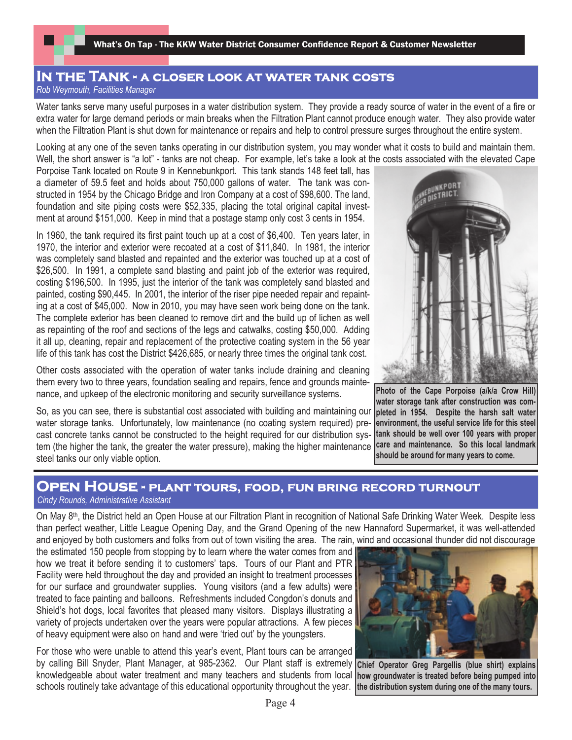## **In the Tank - a closer look at water tank costs** *Rob Weymouth, Facilities Manager*

Water tanks serve many useful purposes in a water distribution system. They provide a ready source of water in the event of a fire or extra water for large demand periods or main breaks when the Filtration Plant cannot produce enough water. They also provide water when the Filtration Plant is shut down for maintenance or repairs and help to control pressure surges throughout the entire system.

Looking at any one of the seven tanks operating in our distribution system, you may wonder what it costs to build and maintain them. Well, the short answer is "a lot" - tanks are not cheap. For example, let's take a look at the costs associated with the elevated Cape

Porpoise Tank located on Route 9 in Kennebunkport. This tank stands 148 feet tall, has a diameter of 59.5 feet and holds about 750,000 gallons of water. The tank was constructed in 1954 by the Chicago Bridge and Iron Company at a cost of \$98,600. The land, foundation and site piping costs were \$52,335, placing the total original capital investment at around \$151,000. Keep in mind that a postage stamp only cost 3 cents in 1954.

In 1960, the tank required its first paint touch up at a cost of \$6,400. Ten years later, in 1970, the interior and exterior were recoated at a cost of \$11,840. In 1981, the interior was completely sand blasted and repainted and the exterior was touched up at a cost of \$26,500. In 1991, a complete sand blasting and paint job of the exterior was required, costing \$196,500. In 1995, just the interior of the tank was completely sand blasted and painted, costing \$90,445. In 2001, the interior of the riser pipe needed repair and repainting at a cost of \$45,000. Now in 2010, you may have seen work being done on the tank. The complete exterior has been cleaned to remove dirt and the build up of lichen as well as repainting of the roof and sections of the legs and catwalks, costing \$50,000. Adding it all up, cleaning, repair and replacement of the protective coating system in the 56 year life of this tank has cost the District \$426,685, or nearly three times the original tank cost.

Other costs associated with the operation of water tanks include draining and cleaning them every two to three years, foundation sealing and repairs, fence and grounds maintenance, and upkeep of the electronic monitoring and security surveillance systems.

So, as you can see, there is substantial cost associated with building and maintaining our water storage tanks. Unfortunately, low maintenance (no coating system required) precast concrete tanks cannot be constructed to the height required for our distribution system (the higher the tank, the greater the water pressure), making the higher maintenance steel tanks our only viable option.



**Photo of the Cape Porpoise (a/k/a Crow Hill) water storage tank after construction was completed in 1954. Despite the harsh salt water environment, the useful service life for this steel tank should be well over 100 years with proper care and maintenance. So this local landmark should be around for many years to come.**

## **Open House - plant tours, food, fun bring record turnout**

## *Cindy Rounds, Administrative Assistant*

On May 8th, the District held an Open House at our Filtration Plant in recognition of National Safe Drinking Water Week. Despite less than perfect weather, Little League Opening Day, and the Grand Opening of the new Hannaford Supermarket, it was well-attended and enjoyed by both customers and folks from out of town visiting the area. The rain, wind and occasional thunder did not discourage

the estimated 150 people from stopping by to learn where the water comes from and how we treat it before sending it to customers' taps. Tours of our Plant and PTR Facility were held throughout the day and provided an insight to treatment processes for our surface and groundwater supplies. Young visitors (and a few adults) were treated to face painting and balloons. Refreshments included Congdon's donuts and Shield's hot dogs, local favorites that pleased many visitors. Displays illustrating a variety of projects undertaken over the years were popular attractions. A few pieces of heavy equipment were also on hand and were 'tried out' by the youngsters.

For those who were unable to attend this year's event, Plant tours can be arranged by calling Bill Snyder, Plant Manager, at 985-2362. Our Plant staff is extremely knowledgeable about water treatment and many teachers and students from local schools routinely take advantage of this educational opportunity throughout the year.



**Chief Operator Greg Pargellis (blue shirt) explains how groundwater is treated before being pumped into the distribution system during one of the many tours.**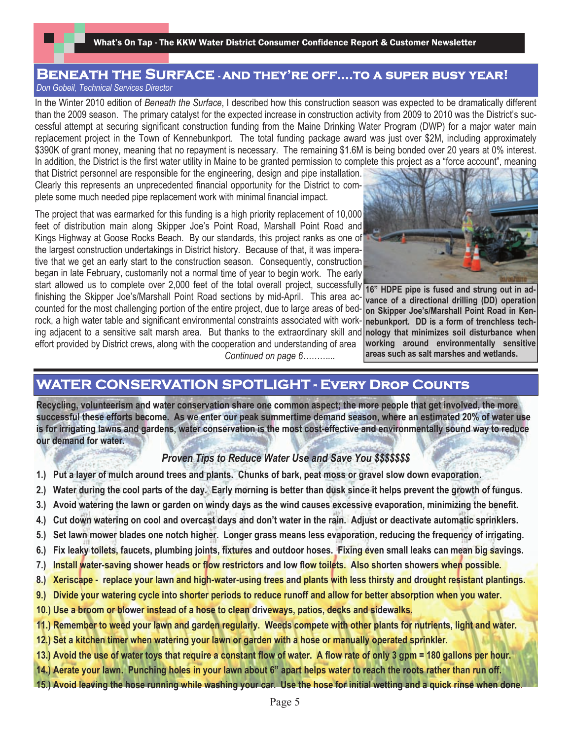What's On Tap - The KKW Water District Consumer Confidence Report & Customer Newsletter

## **Beneath the Surface - and they're off….to a super busy year!**  *Don Gobeil, Technical Services Director*

In the Winter 2010 edition of *Beneath the Surface*, I described how this construction season was expected to be dramatically different than the 2009 season. The primary catalyst for the expected increase in construction activity from 2009 to 2010 was the District's successful attempt at securing significant construction funding from the Maine Drinking Water Program (DWP) for a major water main replacement project in the Town of Kennebunkport. The total funding package award was just over \$2M, including approximately \$390K of grant money, meaning that no repayment is necessary. The remaining \$1.6M is being bonded over 20 years at 0% interest. In addition, the District is the first water utility in Maine to be granted permission to complete this project as a "force account", meaning

that District personnel are responsible for the engineering, design and pipe installation. Clearly this represents an unprecedented financial opportunity for the District to complete some much needed pipe replacement work with minimal financial impact.

The project that was earmarked for this funding is a high priority replacement of 10,000 feet of distribution main along Skipper Joe's Point Road, Marshall Point Road and Kings Highway at Goose Rocks Beach. By our standards, this project ranks as one of the largest construction undertakings in District history. Because of that, it was imperative that we get an early start to the construction season. Consequently, construction began in late February, customarily not a normal time of year to begin work. The early start allowed us to complete over 2,000 feet of the total overall project, successfully 16" HDPE pipe is fused and strung out in adfinishing the Skipper Joe's/Marshall Point Road sections by mid-April. This area accounted for the most challenging portion of the entire project, due to large areas of bedrock, a high water table and significant environmental constraints associated with working adjacent to a sensitive salt marsh area. But thanks to the extraordinary skill and effort provided by District crews, along with the cooperation and understanding of area  *Continued on page 6………...*



**vance of a directional drilling (DD) operation on Skipper Joe's/Marshall Point Road in Kennebunkport. DD is a form of trenchless technology that minimizes soil disturbance when working around environmentally sensitive areas such as salt marshes and wetlands.**

## **WATER CONSERVATION SPOTLIGHT - Every Drop Counts**

**Recycling, volunteerism and water conservation share one common aspect; the more people that get involved, the more successful these efforts become. As we enter our peak summertime demand season, where an estimated 20% of water use is for irrigating lawns and gardens, water conservation is the most cost-effective and environmentally sound way to reduce our demand for water.**

## *Proven Tips to Reduce Water Use and Save You \$\$\$\$\$\$\$*

- **1.) Put a layer of mulch around trees and plants. Chunks of bark, peat moss or gravel slow down evaporation.**
- **2.) Water during the cool parts of the day. Early morning is better than dusk since it helps prevent the growth of fungus.**
- **3.) Avoid watering the lawn or garden on windy days as the wind causes excessive evaporation, minimizing the benefit.**
- **4.) Cut down watering on cool and overcast days and don't water in the rain. Adjust or deactivate automatic sprinklers.**
- **5.) Set lawn mower blades one notch higher. Longer grass means less evaporation, reducing the frequency of irrigating.**
- **6.) Fix leaky toilets, faucets, plumbing joints, fixtures and outdoor hoses. Fixing even small leaks can mean big savings.**
- **7.) Install water-saving shower heads or flow restrictors and low flow toilets. Also shorten showers when possible.**
- **8.) Xeriscape replace your lawn and high-water-using trees and plants with less thirsty and drought resistant plantings.**
- **9.) Divide your watering cycle into shorter periods to reduce runoff and allow for better absorption when you water.**
- **10.) Use a broom or blower instead of a hose to clean driveways, patios, decks and sidewalks.**
- **11.) Remember to weed your lawn and garden regularly. Weeds compete with other plants for nutrients, light and water.**
- **12.) Set a kitchen timer when watering your lawn or garden with a hose or manually operated sprinkler.**
- **13.) Avoid the use of water toys that require a constant flow of water. A flow rate of only 3 gpm = 180 gallons per hour.**
- **14.) Aerate your lawn. Punching holes in your lawn about 6" apart helps water to reach the roots rather than run off.**
- **15.) Avoid leaving the hose running while washing your car. Use the hose for initial wetting and a quick rinse when done.**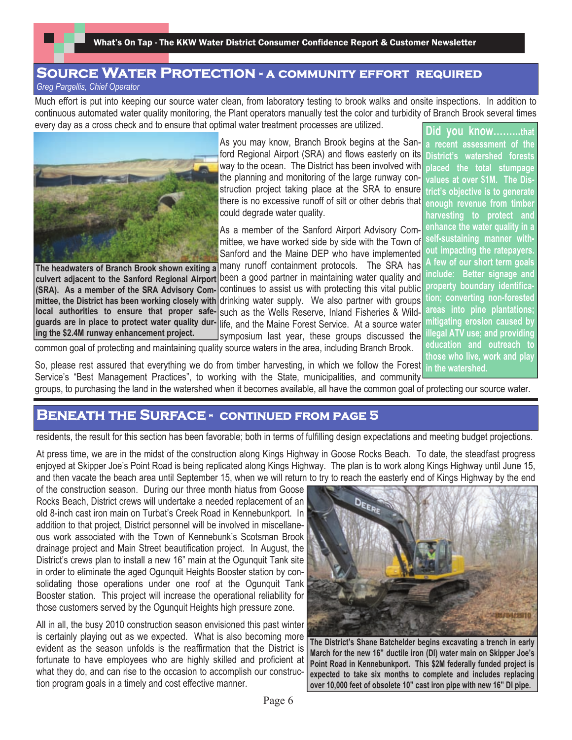What's On Tap - The KKW Water District Consumer Confidence Report & Customer Newsletter

## **SOURCE WATER PROTECTION - A COMMUNITY EFFORT REQUIRED** *Greg Pargellis, Chief Operator*

Much effort is put into keeping our source water clean, from laboratory testing to brook walks and onsite inspections. In addition to continuous automated water quality monitoring, the Plant operators manually test the color and turbidity of Branch Brook several times every day as a cross check and to ensure that optimal water treatment processes are utilized. **Did you know……...that**



**The headwaters of Branch Brook shown exiting a (SRA). As a member of the SRA Advisory Committee, the District has been working closely with local authorities to ensure that proper safeguards are in place to protect water quality during the \$2.4M runway enhancement project.**

As you may know, Branch Brook begins at the Sanford Regional Airport (SRA) and flows easterly on its way to the ocean. The District has been involved with the planning and monitoring of the large runway construction project taking place at the SRA to ensure there is no excessive runoff of silt or other debris that **enough revenue from timber** could degrade water quality.

As a member of the Sanford Airport Advisory Committee, we have worked side by side with the Town of Sanford and the Maine DEP who have implemented many runoff containment protocols. The SRA has culvert adjacent to the Sanford Regional Airport been a good partner in maintaining water quality and

continues to assist us with protecting this vital public property boundary identificadrinking water supply. We also partner with groups such as the Wells Reserve, Inland Fisheries & Wildlife, and the Maine Forest Service. At a source water symposium last year, these groups discussed the

**a recent assessment of the District's watershed forests placed the total stumpage values at over \$1M. The District's objective is to generate harvesting to protect and enhance the water quality in a self-sustaining manner without impacting the ratepayers. A few of our short term goals include: Better signage and tion; converting non-forested areas into pine plantations; mitigating erosion caused by illegal ATV use; and providing education and outreach to those who live, work and play in the watershed.**

common goal of protecting and maintaining quality source waters in the area, including Branch Brook.

So, please rest assured that everything we do from timber harvesting, in which we follow the Forest Service's "Best Management Practices", to working with the State, municipalities, and community

groups, to purchasing the land in the watershed when it becomes available, all have the common goal of protecting our source water.

## **Beneath the Surface - continued from page 5**

residents, the result for this section has been favorable; both in terms of fulfilling design expectations and meeting budget projections.

At press time, we are in the midst of the construction along Kings Highway in Goose Rocks Beach. To date, the steadfast progress enjoyed at Skipper Joe's Point Road is being replicated along Kings Highway. The plan is to work along Kings Highway until June 15, and then vacate the beach area until September 15, when we will return to try to reach the easterly end of Kings Highway by the end

of the construction season. During our three month hiatus from Goose Rocks Beach, District crews will undertake a needed replacement of an old 8-inch cast iron main on Turbat's Creek Road in Kennebunkport. In addition to that project, District personnel will be involved in miscellaneous work associated with the Town of Kennebunk's Scotsman Brook drainage project and Main Street beautification project. In August, the District's crews plan to install a new 16" main at the Ogunquit Tank site in order to eliminate the aged Ogunquit Heights Booster station by consolidating those operations under one roof at the Ogunquit Tank Booster station. This project will increase the operational reliability for those customers served by the Ogunquit Heights high pressure zone.

All in all, the busy 2010 construction season envisioned this past winter is certainly playing out as we expected. What is also becoming more evident as the season unfolds is the reaffirmation that the District is fortunate to have employees who are highly skilled and proficient at what they do, and can rise to the occasion to accomplish our construction program goals in a timely and cost effective manner.



**The District's Shane Batchelder begins excavating a trench in early March for the new 16" ductile iron (DI) water main on Skipper Joe's Point Road in Kennebunkport. This \$2M federally funded project is expected to take six months to complete and includes replacing over 10,000 feet of obsolete 10" cast iron pipe with new 16" DI pipe.**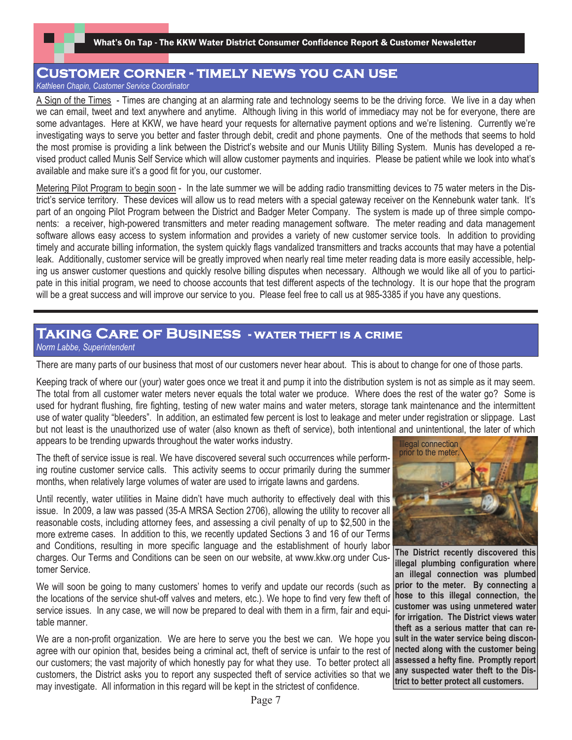## **Customer corner - timely news you can use**

*Kathleen Chapin, Customer Service Coordinator*

A Sign of the Times - Times are changing at an alarming rate and technology seems to be the driving force. We live in a day when we can email, tweet and text anywhere and anytime. Although living in this world of immediacy may not be for everyone, there are some advantages. Here at KKW, we have heard your requests for alternative payment options and we're listening. Currently we're investigating ways to serve you better and faster through debit, credit and phone payments. One of the methods that seems to hold the most promise is providing a link between the District's website and our Munis Utility Billing System. Munis has developed a revised product called Munis Self Service which will allow customer payments and inquiries. Please be patient while we look into what's available and make sure it's a good fit for you, our customer.

Metering Pilot Program to begin soon - In the late summer we will be adding radio transmitting devices to 75 water meters in the District's service territory. These devices will allow us to read meters with a special gateway receiver on the Kennebunk water tank. It's part of an ongoing Pilot Program between the District and Badger Meter Company. The system is made up of three simple components: a receiver, high-powered transmitters and meter reading management software. The meter reading and data management software allows easy access to system information and provides a variety of new customer service tools. In addition to providing timely and accurate billing information, the system quickly flags vandalized transmitters and tracks accounts that may have a potential leak. Additionally, customer service will be greatly improved when nearly real time meter reading data is more easily accessible, helping us answer customer questions and quickly resolve billing disputes when necessary. Although we would like all of you to participate in this initial program, we need to choose accounts that test different aspects of the technology. It is our hope that the program will be a great success and will improve our service to you. Please feel free to call us at 985-3385 if you have any questions.

## **Taking Care of Business - water theft is a crime**  *Norm Labbe, Superintendent*

There are many parts of our business that most of our customers never hear about. This is about to change for one of those parts.

Keeping track of where our (your) water goes once we treat it and pump it into the distribution system is not as simple as it may seem. The total from all customer water meters never equals the total water we produce. Where does the rest of the water go? Some is used for hydrant flushing, fire fighting, testing of new water mains and water meters, storage tank maintenance and the intermittent use of water quality "bleeders". In addition, an estimated few percent is lost to leakage and meter under registration or slippage. Last but not least is the unauthorized use of water (also known as theft of service), both intentional and unintentional, the later of which appears to be trending upwards throughout the water works industry.

The theft of service issue is real. We have discovered several such occurrences while performing routine customer service calls. This activity seems to occur primarily during the summer months, when relatively large volumes of water are used to irrigate lawns and gardens.

Until recently, water utilities in Maine didn't have much authority to effectively deal with this issue. In 2009, a law was passed (35-A MRSA Section 2706), allowing the utility to recover all reasonable costs, including attorney fees, and assessing a civil penalty of up to \$2,500 in the more extreme cases. In addition to this, we recently updated Sections 3 and 16 of our Terms and Conditions, resulting in more specific language and the establishment of hourly labor charges. Our Terms and Conditions can be seen on our website, at www.kkw.org under Customer Service.

We will soon be going to many customers' homes to verify and update our records (such as the locations of the service shut-off valves and meters, etc.). We hope to find very few theft of service issues. In any case, we will now be prepared to deal with them in a firm, fair and equitable manner.

We are a non-profit organization. We are here to serve you the best we can. We hope you agree with our opinion that, besides being a criminal act, theft of service is unfair to the rest of our customers; the vast majority of which honestly pay for what they use. To better protect all customers, the District asks you to report any suspected theft of service activities so that we may investigate. All information in this regard will be kept in the strictest of confidence.



**The District recently discovered this illegal plumbing configuration where an illegal connection was plumbed prior to the meter. By connecting a hose to this illegal connection, the customer was using unmetered water for irrigation. The District views water theft as a serious matter that can result in the water service being disconnected along with the customer being assessed a hefty fine. Promptly report any suspected water theft to the District to better protect all customers.**